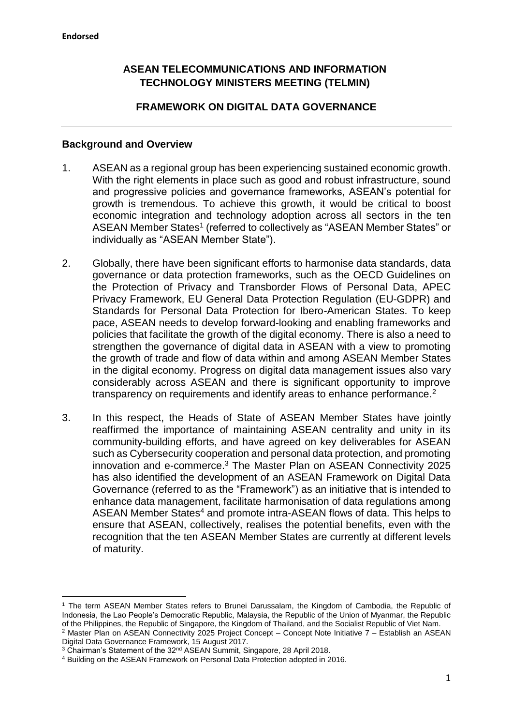**.** 

# **ASEAN TELECOMMUNICATIONS AND INFORMATION TECHNOLOGY MINISTERS MEETING (TELMIN)**

# **FRAMEWORK ON DIGITAL DATA GOVERNANCE**

#### **Background and Overview**

- 1. ASEAN as a regional group has been experiencing sustained economic growth. With the right elements in place such as good and robust infrastructure, sound and progressive policies and governance frameworks, ASEAN's potential for growth is tremendous. To achieve this growth, it would be critical to boost economic integration and technology adoption across all sectors in the ten ASEAN Member States<sup>1</sup> (referred to collectively as "ASEAN Member States" or individually as "ASEAN Member State").
- 2. Globally, there have been significant efforts to harmonise data standards, data governance or data protection frameworks, such as the OECD Guidelines on the Protection of Privacy and Transborder Flows of Personal Data, APEC Privacy Framework, EU General Data Protection Regulation (EU-GDPR) and Standards for Personal Data Protection for Ibero-American States. To keep pace, ASEAN needs to develop forward-looking and enabling frameworks and policies that facilitate the growth of the digital economy. There is also a need to strengthen the governance of digital data in ASEAN with a view to promoting the growth of trade and flow of data within and among ASEAN Member States in the digital economy. Progress on digital data management issues also vary considerably across ASEAN and there is significant opportunity to improve transparency on requirements and identify areas to enhance performance.<sup>2</sup>
- 3. In this respect, the Heads of State of ASEAN Member States have jointly reaffirmed the importance of maintaining ASEAN centrality and unity in its community-building efforts, and have agreed on key deliverables for ASEAN such as Cybersecurity cooperation and personal data protection, and promoting innovation and e-commerce.<sup>3</sup> The Master Plan on ASEAN Connectivity 2025 has also identified the development of an ASEAN Framework on Digital Data Governance (referred to as the "Framework") as an initiative that is intended to enhance data management, facilitate harmonisation of data regulations among ASEAN Member States<sup>4</sup> and promote intra-ASEAN flows of data. This helps to ensure that ASEAN, collectively, realises the potential benefits, even with the recognition that the ten ASEAN Member States are currently at different levels of maturity.

<sup>1</sup> The term ASEAN Member States refers to Brunei Darussalam, the Kingdom of Cambodia, the Republic of Indonesia, the Lao People's Democratic Republic, Malaysia, the Republic of the Union of Myanmar, the Republic of the Philippines, the Republic of Singapore, the Kingdom of Thailand, and the Socialist Republic of Viet Nam. <sup>2</sup> Master Plan on ASEAN Connectivity 2025 Project Concept – Concept Note Initiative 7 – Establish an ASEAN Digital Data Governance Framework, 15 August 2017.

<sup>&</sup>lt;sup>3</sup> Chairman's Statement of the 32<sup>nd</sup> ASEAN Summit, Singapore, 28 April 2018.

<sup>4</sup> Building on the ASEAN Framework on Personal Data Protection adopted in 2016.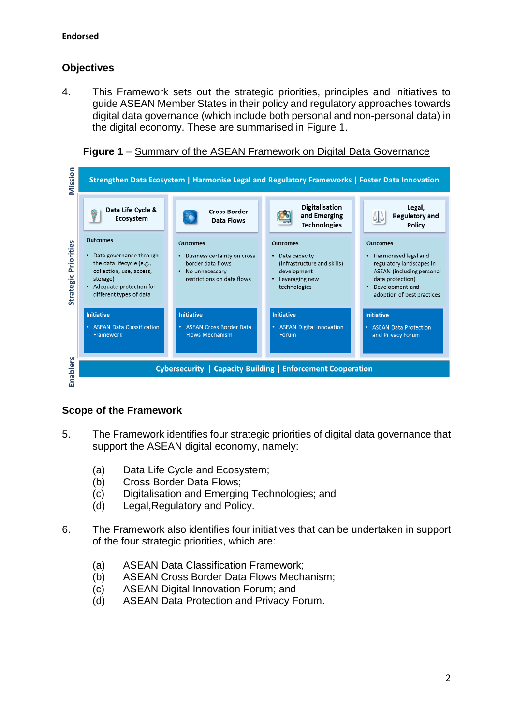# **Objectives**

4. This Framework sets out the strategic priorities, principles and initiatives to guide ASEAN Member States in their policy and regulatory approaches towards digital data governance (which include both personal and non-personal data) in the digital economy. These are summarised in Figure 1.





# **Scope of the Framework**

- 5. The Framework identifies four strategic priorities of digital data governance that support the ASEAN digital economy, namely:
	- (a) Data Life Cycle and Ecosystem;
	- (b) Cross Border Data Flows;
	- (c) Digitalisation and Emerging Technologies; and
	- (d) Legal,Regulatory and Policy.
- 6. The Framework also identifies four initiatives that can be undertaken in support of the four strategic priorities, which are:
	- (a) ASEAN Data Classification Framework;
	- (b) ASEAN Cross Border Data Flows Mechanism;
	- (c) ASEAN Digital Innovation Forum; and
	- (d) ASEAN Data Protection and Privacy Forum.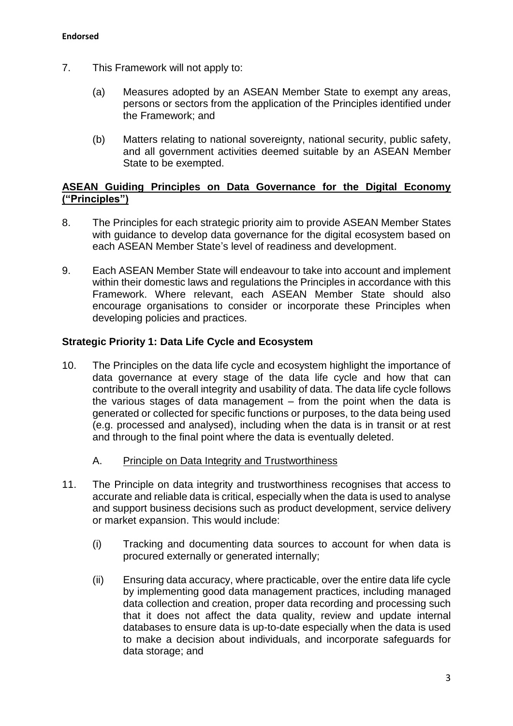- 7. This Framework will not apply to:
	- (a) Measures adopted by an ASEAN Member State to exempt any areas, persons or sectors from the application of the Principles identified under the Framework; and
	- (b) Matters relating to national sovereignty, national security, public safety, and all government activities deemed suitable by an ASEAN Member State to be exempted.

## **ASEAN Guiding Principles on Data Governance for the Digital Economy ("Principles")**

- 8. The Principles for each strategic priority aim to provide ASEAN Member States with guidance to develop data governance for the digital ecosystem based on each ASEAN Member State's level of readiness and development.
- 9. Each ASEAN Member State will endeavour to take into account and implement within their domestic laws and regulations the Principles in accordance with this Framework. Where relevant, each ASEAN Member State should also encourage organisations to consider or incorporate these Principles when developing policies and practices.

# **Strategic Priority 1: Data Life Cycle and Ecosystem**

- 10. The Principles on the data life cycle and ecosystem highlight the importance of data governance at every stage of the data life cycle and how that can contribute to the overall integrity and usability of data. The data life cycle follows the various stages of data management – from the point when the data is generated or collected for specific functions or purposes, to the data being used (e.g. processed and analysed), including when the data is in transit or at rest and through to the final point where the data is eventually deleted.
	- A. Principle on Data Integrity and Trustworthiness
- 11. The Principle on data integrity and trustworthiness recognises that access to accurate and reliable data is critical, especially when the data is used to analyse and support business decisions such as product development, service delivery or market expansion. This would include:
	- (i) Tracking and documenting data sources to account for when data is procured externally or generated internally;
	- (ii) Ensuring data accuracy, where practicable, over the entire data life cycle by implementing good data management practices, including managed data collection and creation, proper data recording and processing such that it does not affect the data quality, review and update internal databases to ensure data is up-to-date especially when the data is used to make a decision about individuals, and incorporate safeguards for data storage; and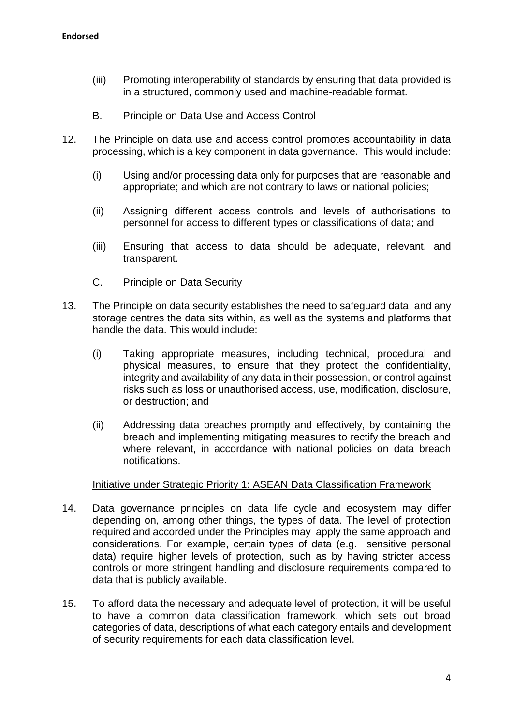- (iii) Promoting interoperability of standards by ensuring that data provided is in a structured, commonly used and machine-readable format.
- B. Principle on Data Use and Access Control
- 12. The Principle on data use and access control promotes accountability in data processing, which is a key component in data governance. This would include:
	- (i) Using and/or processing data only for purposes that are reasonable and appropriate; and which are not contrary to laws or national policies;
	- (ii) Assigning different access controls and levels of authorisations to personnel for access to different types or classifications of data; and
	- (iii) Ensuring that access to data should be adequate, relevant, and transparent.
	- C. Principle on Data Security
- 13. The Principle on data security establishes the need to safeguard data, and any storage centres the data sits within, as well as the systems and platforms that handle the data. This would include:
	- (i) Taking appropriate measures, including technical, procedural and physical measures, to ensure that they protect the confidentiality, integrity and availability of any data in their possession, or control against risks such as loss or unauthorised access, use, modification, disclosure, or destruction; and
	- (ii) Addressing data breaches promptly and effectively, by containing the breach and implementing mitigating measures to rectify the breach and where relevant, in accordance with national policies on data breach notifications.

#### Initiative under Strategic Priority 1: ASEAN Data Classification Framework

- 14. Data governance principles on data life cycle and ecosystem may differ depending on, among other things, the types of data. The level of protection required and accorded under the Principles may apply the same approach and considerations. For example, certain types of data (e.g. sensitive personal data) require higher levels of protection, such as by having stricter access controls or more stringent handling and disclosure requirements compared to data that is publicly available.
- 15. To afford data the necessary and adequate level of protection, it will be useful to have a common data classification framework, which sets out broad categories of data, descriptions of what each category entails and development of security requirements for each data classification level.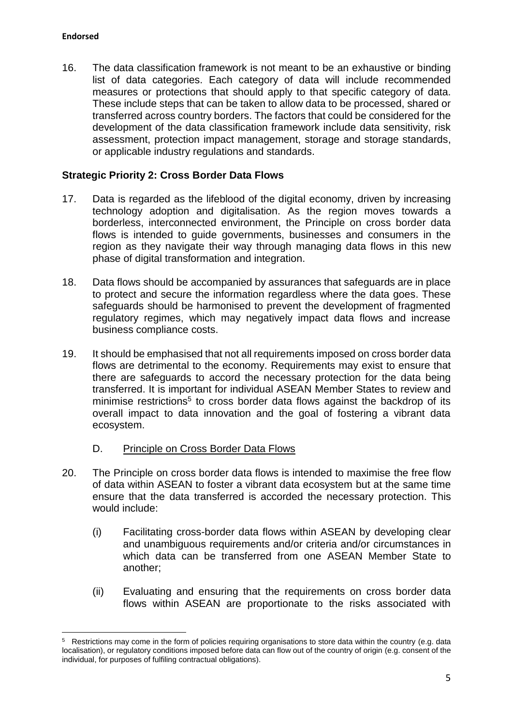$\overline{a}$ 

16. The data classification framework is not meant to be an exhaustive or binding list of data categories. Each category of data will include recommended measures or protections that should apply to that specific category of data. These include steps that can be taken to allow data to be processed, shared or transferred across country borders. The factors that could be considered for the development of the data classification framework include data sensitivity, risk assessment, protection impact management, storage and storage standards, or applicable industry regulations and standards.

# **Strategic Priority 2: Cross Border Data Flows**

- 17. Data is regarded as the lifeblood of the digital economy, driven by increasing technology adoption and digitalisation. As the region moves towards a borderless, interconnected environment, the Principle on cross border data flows is intended to guide governments, businesses and consumers in the region as they navigate their way through managing data flows in this new phase of digital transformation and integration.
- 18. Data flows should be accompanied by assurances that safeguards are in place to protect and secure the information regardless where the data goes. These safeguards should be harmonised to prevent the development of fragmented regulatory regimes, which may negatively impact data flows and increase business compliance costs.
- 19. It should be emphasised that not all requirements imposed on cross border data flows are detrimental to the economy. Requirements may exist to ensure that there are safeguards to accord the necessary protection for the data being transferred. It is important for individual ASEAN Member States to review and minimise restrictions<sup>5</sup> to cross border data flows against the backdrop of its overall impact to data innovation and the goal of fostering a vibrant data ecosystem.

### D. Principle on Cross Border Data Flows

- 20. The Principle on cross border data flows is intended to maximise the free flow of data within ASEAN to foster a vibrant data ecosystem but at the same time ensure that the data transferred is accorded the necessary protection. This would include:
	- (i) Facilitating cross-border data flows within ASEAN by developing clear and unambiguous requirements and/or criteria and/or circumstances in which data can be transferred from one ASEAN Member State to another;
	- (ii) Evaluating and ensuring that the requirements on cross border data flows within ASEAN are proportionate to the risks associated with

<sup>&</sup>lt;sup>5</sup> Restrictions may come in the form of policies requiring organisations to store data within the country (e.g. data localisation), or regulatory conditions imposed before data can flow out of the country of origin (e.g. consent of the individual, for purposes of fulfiling contractual obligations).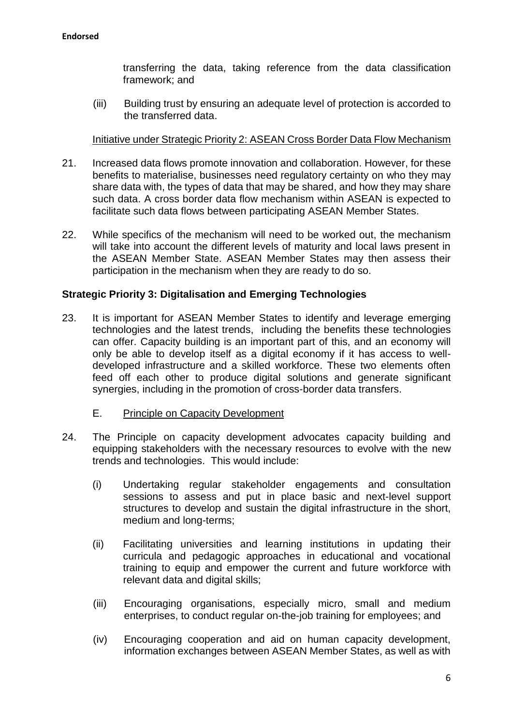transferring the data, taking reference from the data classification framework; and

(iii) Building trust by ensuring an adequate level of protection is accorded to the transferred data.

### Initiative under Strategic Priority 2: ASEAN Cross Border Data Flow Mechanism

- 21. Increased data flows promote innovation and collaboration. However, for these benefits to materialise, businesses need regulatory certainty on who they may share data with, the types of data that may be shared, and how they may share such data. A cross border data flow mechanism within ASEAN is expected to facilitate such data flows between participating ASEAN Member States.
- 22. While specifics of the mechanism will need to be worked out, the mechanism will take into account the different levels of maturity and local laws present in the ASEAN Member State. ASEAN Member States may then assess their participation in the mechanism when they are ready to do so.

### **Strategic Priority 3: Digitalisation and Emerging Technologies**

- 23. It is important for ASEAN Member States to identify and leverage emerging technologies and the latest trends, including the benefits these technologies can offer. Capacity building is an important part of this, and an economy will only be able to develop itself as a digital economy if it has access to welldeveloped infrastructure and a skilled workforce. These two elements often feed off each other to produce digital solutions and generate significant synergies, including in the promotion of cross-border data transfers.
	- E. Principle on Capacity Development
- 24. The Principle on capacity development advocates capacity building and equipping stakeholders with the necessary resources to evolve with the new trends and technologies. This would include:
	- (i) Undertaking regular stakeholder engagements and consultation sessions to assess and put in place basic and next-level support structures to develop and sustain the digital infrastructure in the short, medium and long-terms;
	- (ii) Facilitating universities and learning institutions in updating their curricula and pedagogic approaches in educational and vocational training to equip and empower the current and future workforce with relevant data and digital skills;
	- (iii) Encouraging organisations, especially micro, small and medium enterprises, to conduct regular on-the-job training for employees; and
	- (iv) Encouraging cooperation and aid on human capacity development, information exchanges between ASEAN Member States, as well as with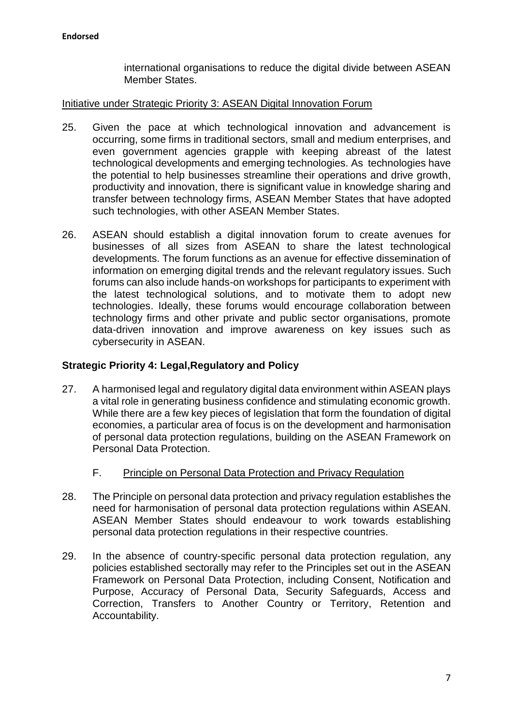international organisations to reduce the digital divide between ASEAN Member States.

#### Initiative under Strategic Priority 3: ASEAN Digital Innovation Forum

- 25. Given the pace at which technological innovation and advancement is occurring, some firms in traditional sectors, small and medium enterprises, and even government agencies grapple with keeping abreast of the latest technological developments and emerging technologies. As technologies have the potential to help businesses streamline their operations and drive growth, productivity and innovation, there is significant value in knowledge sharing and transfer between technology firms, ASEAN Member States that have adopted such technologies, with other ASEAN Member States.
- 26. ASEAN should establish a digital innovation forum to create avenues for businesses of all sizes from ASEAN to share the latest technological developments. The forum functions as an avenue for effective dissemination of information on emerging digital trends and the relevant regulatory issues. Such forums can also include hands-on workshops for participants to experiment with the latest technological solutions, and to motivate them to adopt new technologies. Ideally, these forums would encourage collaboration between technology firms and other private and public sector organisations, promote data-driven innovation and improve awareness on key issues such as cybersecurity in ASEAN.

### **Strategic Priority 4: Legal,Regulatory and Policy**

- 27. A harmonised legal and regulatory digital data environment within ASEAN plays a vital role in generating business confidence and stimulating economic growth. While there are a few key pieces of legislation that form the foundation of digital economies, a particular area of focus is on the development and harmonisation of personal data protection regulations, building on the ASEAN Framework on Personal Data Protection.
	- F. Principle on Personal Data Protection and Privacy Regulation
- 28. The Principle on personal data protection and privacy regulation establishes the need for harmonisation of personal data protection regulations within ASEAN. ASEAN Member States should endeavour to work towards establishing personal data protection regulations in their respective countries.
- 29. In the absence of country-specific personal data protection regulation, any policies established sectorally may refer to the Principles set out in the ASEAN Framework on Personal Data Protection, including Consent, Notification and Purpose, Accuracy of Personal Data, Security Safeguards, Access and Correction, Transfers to Another Country or Territory, Retention and Accountability.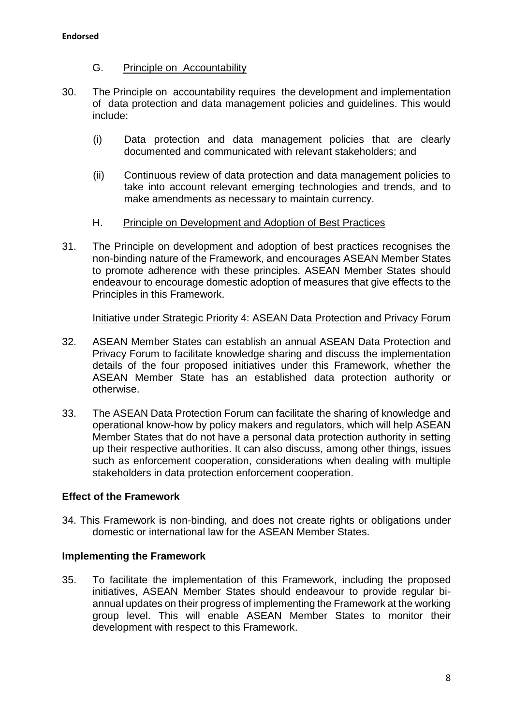- G. Principle on Accountability
- 30. The Principle on accountability requires the development and implementation of data protection and data management policies and guidelines. This would include:
	- (i) Data protection and data management policies that are clearly documented and communicated with relevant stakeholders; and
	- (ii) Continuous review of data protection and data management policies to take into account relevant emerging technologies and trends, and to make amendments as necessary to maintain currency.
	- H. Principle on Development and Adoption of Best Practices
- 31. The Principle on development and adoption of best practices recognises the non-binding nature of the Framework, and encourages ASEAN Member States to promote adherence with these principles. ASEAN Member States should endeavour to encourage domestic adoption of measures that give effects to the Principles in this Framework.

Initiative under Strategic Priority 4: ASEAN Data Protection and Privacy Forum

- 32. ASEAN Member States can establish an annual ASEAN Data Protection and Privacy Forum to facilitate knowledge sharing and discuss the implementation details of the four proposed initiatives under this Framework, whether the ASEAN Member State has an established data protection authority or otherwise.
- 33. The ASEAN Data Protection Forum can facilitate the sharing of knowledge and operational know-how by policy makers and regulators, which will help ASEAN Member States that do not have a personal data protection authority in setting up their respective authorities. It can also discuss, among other things, issues such as enforcement cooperation, considerations when dealing with multiple stakeholders in data protection enforcement cooperation.

### **Effect of the Framework**

34. This Framework is non-binding, and does not create rights or obligations under domestic or international law for the ASEAN Member States.

### **Implementing the Framework**

35. To facilitate the implementation of this Framework, including the proposed initiatives, ASEAN Member States should endeavour to provide regular biannual updates on their progress of implementing the Framework at the working group level. This will enable ASEAN Member States to monitor their development with respect to this Framework.